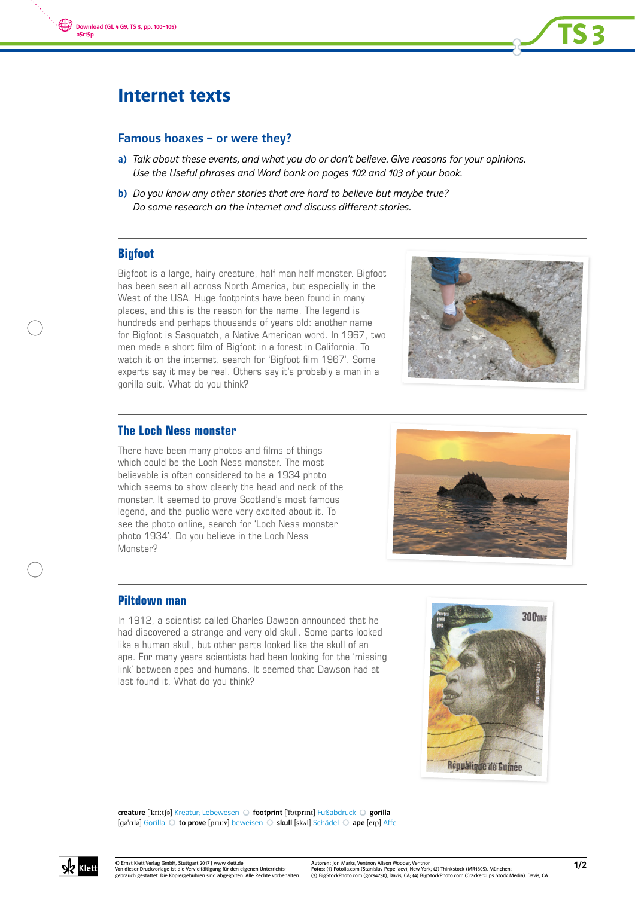



# Internet texts

## Famous hoaxes – or were they?

- a) Talk about these events, and what you do or don't believe. Give reasons for your opinions. Use the Useful phrases and Word bank on pages 102 and 103 of your book.
- b) Do you know any other stories that are hard to believe but maybe true? Do some research on the internet and discuss different stories.

## **Bigfoot**

Bigfoot is a large, hairy creature, half man half monster. Bigfoot has been seen all across North America, but especially in the West of the USA. Huge footprints have been found in many places, and this is the reason for the name. The legend is hundreds and perhaps thousands of years old: another name for Bigfoot is Sasquatch, a Native American word. In 1967, two men made a short film of Bigfoot in a forest in California. To watch it on the internet, search for 'Bigfoot film 1967'. Some experts say it may be real. Others say it's probably a man in a gorilla suit. What do you think?



TS 3

## **The Loch Ness monster**

There have been many photos and films of things which could be the Loch Ness monster. The most believable is often considered to be a 1934 photo which seems to show clearly the head and neck of the monster. It seemed to prove Scotland's most famous legend, and the public were very excited about it. To see the photo online, search for 'Loch Ness monster photo 1934'. Do you believe in the Loch Ness Monster?



## **Piltdown man**

In 1912, a scientist called Charles Dawson announced that he had discovered a strange and very old skull. Some parts looked like a human skull, but other parts looked like the skull of an ape. For many years scientists had been looking for the 'missing link' between apes and humans. It seemed that Dawson had at last found it. What do you think?



creature ['kri:tʃə] Kreatur; Lebewesen O footprint ['fotprɪnt] Fußabdruck O gorilla [ga'rɪlə] Gorilla O to prove [pru:v] beweisen O skull [skʌl] Schädel O ape [eɪp] Affe